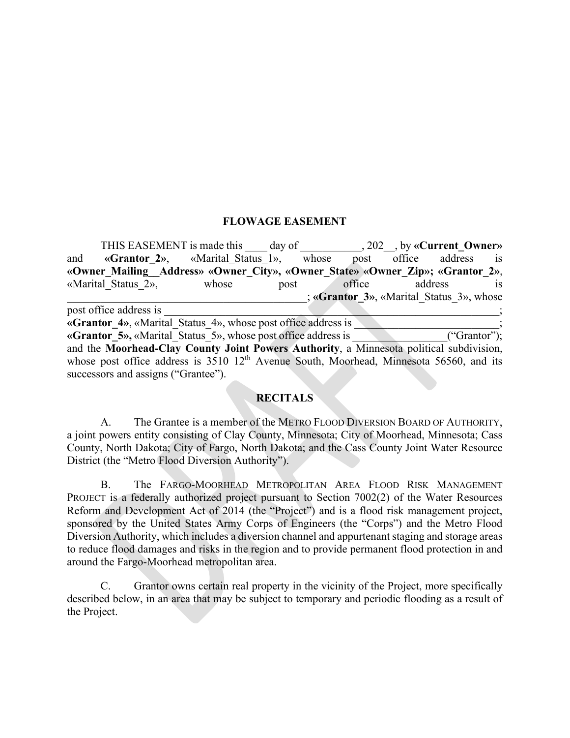# **FLOWAGE EASEMENT**

|                                                                                                                      | THIS EASEMENT is made this day of , 202, by «Current Owner» |       |      |       |                                          |                     |  |                |
|----------------------------------------------------------------------------------------------------------------------|-------------------------------------------------------------|-------|------|-------|------------------------------------------|---------------------|--|----------------|
| and                                                                                                                  | «Grantor 2», «Marital Status 1»,                            |       |      | whose |                                          | post office address |  | $\overline{1}$ |
| «Owner Mailing Address» «Owner City», «Owner State» «Owner Zip»; «Grantor 2»,                                        |                                                             |       |      |       |                                          |                     |  |                |
|                                                                                                                      | «Marital Status 2»,                                         | whose | post |       | office                                   | address             |  | <b>1S</b>      |
|                                                                                                                      |                                                             |       |      |       | ; «Grantor 3», «Marital Status 3», whose |                     |  |                |
| post office address is                                                                                               |                                                             |       |      |       |                                          |                     |  |                |
| «Grantor 4», «Marital Status 4», whose post office address is                                                        |                                                             |       |      |       |                                          |                     |  |                |
| «Grantor 5», «Marital Status 5», whose post office address is<br>("Grantor");                                        |                                                             |       |      |       |                                          |                     |  |                |
| and the Moorhead-Clay County Joint Powers Authority, a Minnesota political subdivision,                              |                                                             |       |      |       |                                          |                     |  |                |
| whose post office address is $3510 \frac{12^{\text{th}}}{\text{A}}$ Avenue South, Moorhead, Minnesota 56560, and its |                                                             |       |      |       |                                          |                     |  |                |
|                                                                                                                      | successors and assigns ("Grantee").                         |       |      |       |                                          |                     |  |                |

### **RECITALS**

A. The Grantee is a member of the METRO FLOOD DIVERSION BOARD OF AUTHORITY, a joint powers entity consisting of Clay County, Minnesota; City of Moorhead, Minnesota; Cass County, North Dakota; City of Fargo, North Dakota; and the Cass County Joint Water Resource District (the "Metro Flood Diversion Authority").

B. The FARGO-MOORHEAD METROPOLITAN AREA FLOOD RISK MANAGEMENT PROJECT is a federally authorized project pursuant to Section 7002(2) of the Water Resources Reform and Development Act of 2014 (the "Project") and is a flood risk management project, sponsored by the United States Army Corps of Engineers (the "Corps") and the Metro Flood Diversion Authority, which includes a diversion channel and appurtenant staging and storage areas to reduce flood damages and risks in the region and to provide permanent flood protection in and around the Fargo-Moorhead metropolitan area.

C. Grantor owns certain real property in the vicinity of the Project, more specifically described below, in an area that may be subject to temporary and periodic flooding as a result of the Project.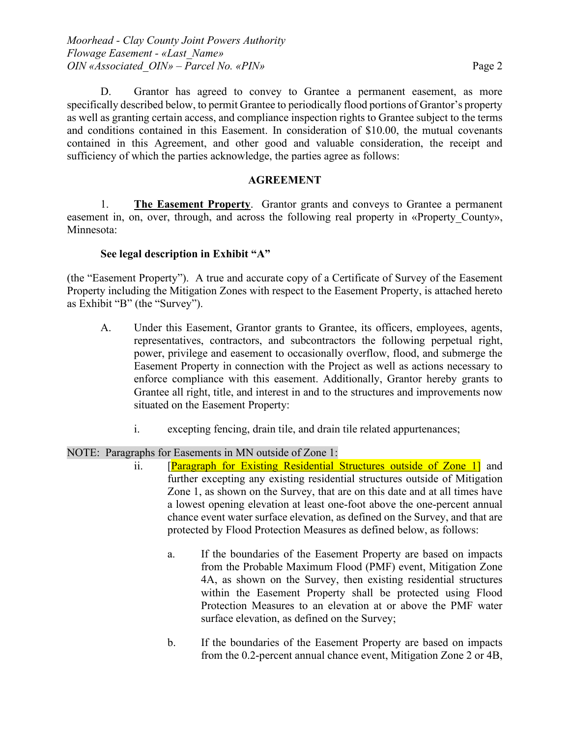D. Grantor has agreed to convey to Grantee a permanent easement, as more specifically described below, to permit Grantee to periodically flood portions of Grantor's property as well as granting certain access, and compliance inspection rights to Grantee subject to the terms and conditions contained in this Easement. In consideration of \$10.00, the mutual covenants contained in this Agreement, and other good and valuable consideration, the receipt and sufficiency of which the parties acknowledge, the parties agree as follows:

# **AGREEMENT**

1. **The Easement Property**. Grantor grants and conveys to Grantee a permanent easement in, on, over, through, and across the following real property in «Property County», Minnesota:

## **See legal description in Exhibit "A"**

(the "Easement Property"). A true and accurate copy of a Certificate of Survey of the Easement Property including the Mitigation Zones with respect to the Easement Property, is attached hereto as Exhibit "B" (the "Survey").

- A. Under this Easement, Grantor grants to Grantee, its officers, employees, agents, representatives, contractors, and subcontractors the following perpetual right, power, privilege and easement to occasionally overflow, flood, and submerge the Easement Property in connection with the Project as well as actions necessary to enforce compliance with this easement. Additionally, Grantor hereby grants to Grantee all right, title, and interest in and to the structures and improvements now situated on the Easement Property:
	- i. excepting fencing, drain tile, and drain tile related appurtenances;

## NOTE: Paragraphs for Easements in MN outside of Zone 1:

- ii. [Paragraph for Existing Residential Structures outside of Zone 1] and further excepting any existing residential structures outside of Mitigation Zone 1, as shown on the Survey, that are on this date and at all times have a lowest opening elevation at least one-foot above the one-percent annual chance event water surface elevation, as defined on the Survey, and that are protected by Flood Protection Measures as defined below, as follows:
	- a. If the boundaries of the Easement Property are based on impacts from the Probable Maximum Flood (PMF) event, Mitigation Zone 4A, as shown on the Survey, then existing residential structures within the Easement Property shall be protected using Flood Protection Measures to an elevation at or above the PMF water surface elevation, as defined on the Survey;
	- b. If the boundaries of the Easement Property are based on impacts from the 0.2-percent annual chance event, Mitigation Zone 2 or 4B,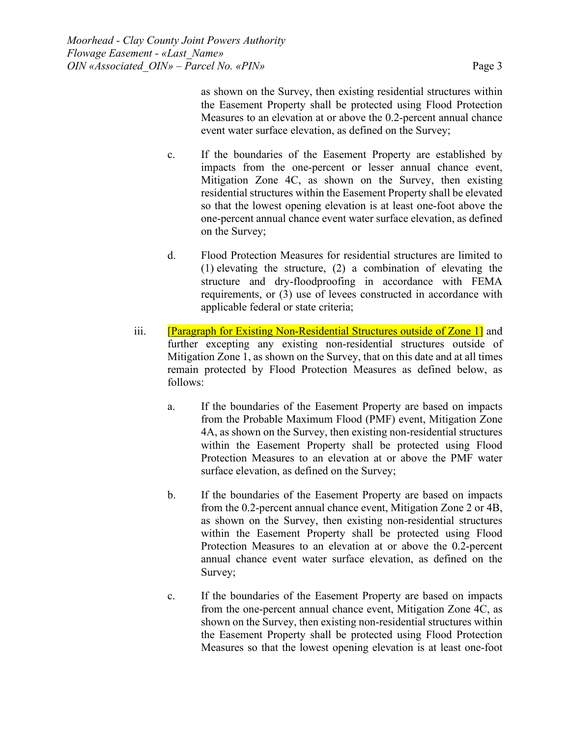as shown on the Survey, then existing residential structures within the Easement Property shall be protected using Flood Protection Measures to an elevation at or above the 0.2-percent annual chance event water surface elevation, as defined on the Survey;

- c. If the boundaries of the Easement Property are established by impacts from the one-percent or lesser annual chance event, Mitigation Zone 4C, as shown on the Survey, then existing residential structures within the Easement Property shall be elevated so that the lowest opening elevation is at least one-foot above the one-percent annual chance event water surface elevation, as defined on the Survey;
- d. Flood Protection Measures for residential structures are limited to (1) elevating the structure, (2) a combination of elevating the structure and dry-floodproofing in accordance with FEMA requirements, or (3) use of levees constructed in accordance with applicable federal or state criteria;
- iii. **[Paragraph for Existing Non-Residential Structures outside of Zone 1]** and further excepting any existing non-residential structures outside of Mitigation Zone 1, as shown on the Survey, that on this date and at all times remain protected by Flood Protection Measures as defined below, as follows:
	- a. If the boundaries of the Easement Property are based on impacts from the Probable Maximum Flood (PMF) event, Mitigation Zone 4A, as shown on the Survey, then existing non-residential structures within the Easement Property shall be protected using Flood Protection Measures to an elevation at or above the PMF water surface elevation, as defined on the Survey;
	- b. If the boundaries of the Easement Property are based on impacts from the 0.2-percent annual chance event, Mitigation Zone 2 or 4B, as shown on the Survey, then existing non-residential structures within the Easement Property shall be protected using Flood Protection Measures to an elevation at or above the 0.2-percent annual chance event water surface elevation, as defined on the Survey;
	- c. If the boundaries of the Easement Property are based on impacts from the one-percent annual chance event, Mitigation Zone 4C, as shown on the Survey, then existing non-residential structures within the Easement Property shall be protected using Flood Protection Measures so that the lowest opening elevation is at least one-foot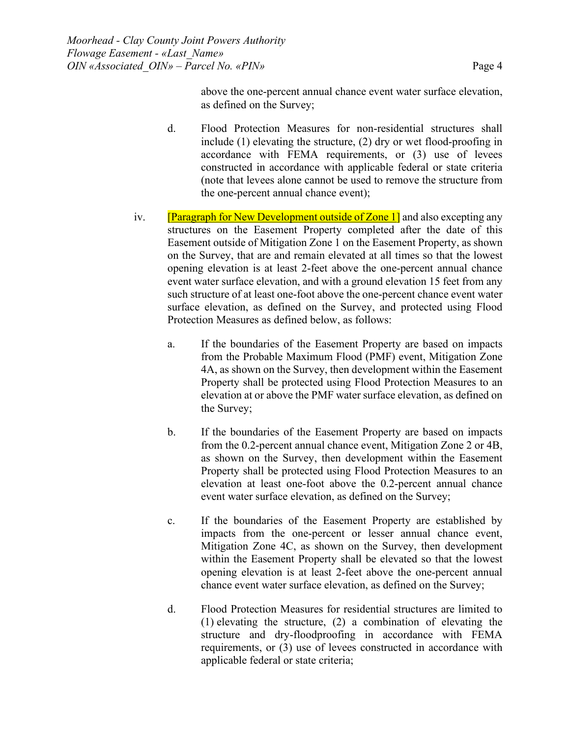above the one-percent annual chance event water surface elevation, as defined on the Survey;

- d. Flood Protection Measures for non-residential structures shall include (1) elevating the structure, (2) dry or wet flood-proofing in accordance with FEMA requirements, or (3) use of levees constructed in accordance with applicable federal or state criteria (note that levees alone cannot be used to remove the structure from the one-percent annual chance event);
- iv. **[Paragraph for New Development outside of Zone 1]** and also excepting any structures on the Easement Property completed after the date of this Easement outside of Mitigation Zone 1 on the Easement Property, as shown on the Survey, that are and remain elevated at all times so that the lowest opening elevation is at least 2-feet above the one-percent annual chance event water surface elevation, and with a ground elevation 15 feet from any such structure of at least one-foot above the one-percent chance event water surface elevation, as defined on the Survey, and protected using Flood Protection Measures as defined below, as follows:
	- a. If the boundaries of the Easement Property are based on impacts from the Probable Maximum Flood (PMF) event, Mitigation Zone 4A, as shown on the Survey, then development within the Easement Property shall be protected using Flood Protection Measures to an elevation at or above the PMF water surface elevation, as defined on the Survey;
	- b. If the boundaries of the Easement Property are based on impacts from the 0.2-percent annual chance event, Mitigation Zone 2 or 4B, as shown on the Survey, then development within the Easement Property shall be protected using Flood Protection Measures to an elevation at least one-foot above the 0.2-percent annual chance event water surface elevation, as defined on the Survey;
	- c. If the boundaries of the Easement Property are established by impacts from the one-percent or lesser annual chance event, Mitigation Zone 4C, as shown on the Survey, then development within the Easement Property shall be elevated so that the lowest opening elevation is at least 2-feet above the one-percent annual chance event water surface elevation, as defined on the Survey;
	- d. Flood Protection Measures for residential structures are limited to (1) elevating the structure, (2) a combination of elevating the structure and dry-floodproofing in accordance with FEMA requirements, or (3) use of levees constructed in accordance with applicable federal or state criteria;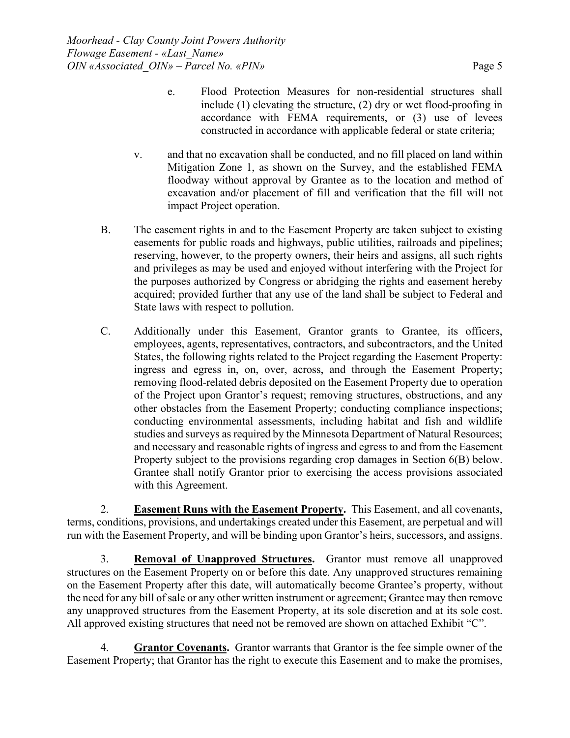- e. Flood Protection Measures for non-residential structures shall include (1) elevating the structure, (2) dry or wet flood-proofing in accordance with FEMA requirements, or (3) use of levees constructed in accordance with applicable federal or state criteria;
- v. and that no excavation shall be conducted, and no fill placed on land within Mitigation Zone 1, as shown on the Survey, and the established FEMA floodway without approval by Grantee as to the location and method of excavation and/or placement of fill and verification that the fill will not impact Project operation.
- B. The easement rights in and to the Easement Property are taken subject to existing easements for public roads and highways, public utilities, railroads and pipelines; reserving, however, to the property owners, their heirs and assigns, all such rights and privileges as may be used and enjoyed without interfering with the Project for the purposes authorized by Congress or abridging the rights and easement hereby acquired; provided further that any use of the land shall be subject to Federal and State laws with respect to pollution.
- C. Additionally under this Easement, Grantor grants to Grantee, its officers, employees, agents, representatives, contractors, and subcontractors, and the United States, the following rights related to the Project regarding the Easement Property: ingress and egress in, on, over, across, and through the Easement Property; removing flood-related debris deposited on the Easement Property due to operation of the Project upon Grantor's request; removing structures, obstructions, and any other obstacles from the Easement Property; conducting compliance inspections; conducting environmental assessments, including habitat and fish and wildlife studies and surveys as required by the Minnesota Department of Natural Resources; and necessary and reasonable rights of ingress and egress to and from the Easement Property subject to the provisions regarding crop damages in Section 6(B) below. Grantee shall notify Grantor prior to exercising the access provisions associated with this Agreement.

2. **Easement Runs with the Easement Property.** This Easement, and all covenants, terms, conditions, provisions, and undertakings created under this Easement, are perpetual and will run with the Easement Property, and will be binding upon Grantor's heirs, successors, and assigns.

3. **Removal of Unapproved Structures.** Grantor must remove all unapproved structures on the Easement Property on or before this date. Any unapproved structures remaining on the Easement Property after this date, will automatically become Grantee's property, without the need for any bill of sale or any other written instrument or agreement; Grantee may then remove any unapproved structures from the Easement Property, at its sole discretion and at its sole cost. All approved existing structures that need not be removed are shown on attached Exhibit "C".

4. **Grantor Covenants.** Grantor warrants that Grantor is the fee simple owner of the Easement Property; that Grantor has the right to execute this Easement and to make the promises,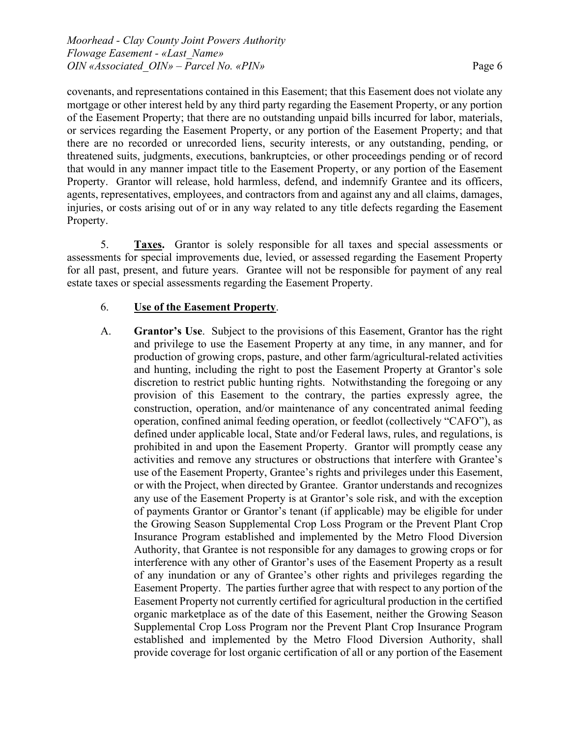covenants, and representations contained in this Easement; that this Easement does not violate any mortgage or other interest held by any third party regarding the Easement Property, or any portion of the Easement Property; that there are no outstanding unpaid bills incurred for labor, materials, or services regarding the Easement Property, or any portion of the Easement Property; and that there are no recorded or unrecorded liens, security interests, or any outstanding, pending, or threatened suits, judgments, executions, bankruptcies, or other proceedings pending or of record that would in any manner impact title to the Easement Property, or any portion of the Easement Property. Grantor will release, hold harmless, defend, and indemnify Grantee and its officers, agents, representatives, employees, and contractors from and against any and all claims, damages, injuries, or costs arising out of or in any way related to any title defects regarding the Easement Property.

5. **Taxes.** Grantor is solely responsible for all taxes and special assessments or assessments for special improvements due, levied, or assessed regarding the Easement Property for all past, present, and future years. Grantee will not be responsible for payment of any real estate taxes or special assessments regarding the Easement Property.

# 6. **Use of the Easement Property**.

A. **Grantor's Use**. Subject to the provisions of this Easement, Grantor has the right and privilege to use the Easement Property at any time, in any manner, and for production of growing crops, pasture, and other farm/agricultural-related activities and hunting, including the right to post the Easement Property at Grantor's sole discretion to restrict public hunting rights. Notwithstanding the foregoing or any provision of this Easement to the contrary, the parties expressly agree, the construction, operation, and/or maintenance of any concentrated animal feeding operation, confined animal feeding operation, or feedlot (collectively "CAFO"), as defined under applicable local, State and/or Federal laws, rules, and regulations, is prohibited in and upon the Easement Property. Grantor will promptly cease any activities and remove any structures or obstructions that interfere with Grantee's use of the Easement Property, Grantee's rights and privileges under this Easement, or with the Project, when directed by Grantee. Grantor understands and recognizes any use of the Easement Property is at Grantor's sole risk, and with the exception of payments Grantor or Grantor's tenant (if applicable) may be eligible for under the Growing Season Supplemental Crop Loss Program or the Prevent Plant Crop Insurance Program established and implemented by the Metro Flood Diversion Authority, that Grantee is not responsible for any damages to growing crops or for interference with any other of Grantor's uses of the Easement Property as a result of any inundation or any of Grantee's other rights and privileges regarding the Easement Property. The parties further agree that with respect to any portion of the Easement Property not currently certified for agricultural production in the certified organic marketplace as of the date of this Easement, neither the Growing Season Supplemental Crop Loss Program nor the Prevent Plant Crop Insurance Program established and implemented by the Metro Flood Diversion Authority, shall provide coverage for lost organic certification of all or any portion of the Easement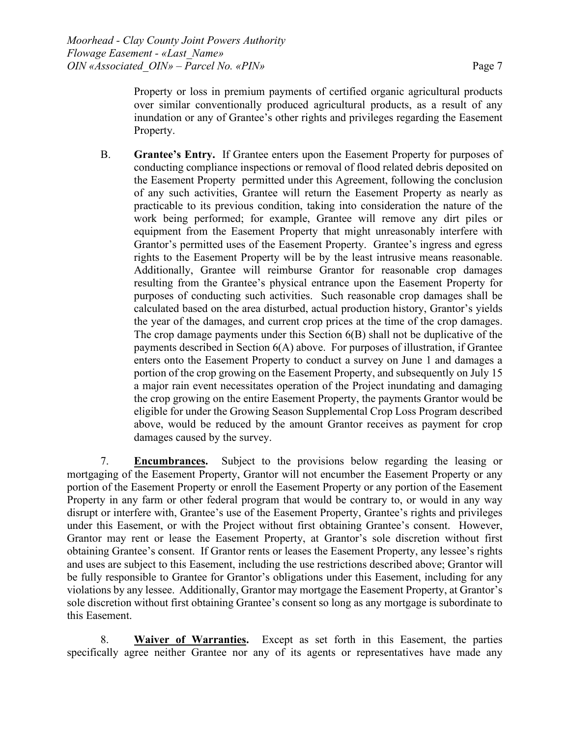Property or loss in premium payments of certified organic agricultural products over similar conventionally produced agricultural products, as a result of any inundation or any of Grantee's other rights and privileges regarding the Easement Property.

B. **Grantee's Entry.** If Grantee enters upon the Easement Property for purposes of conducting compliance inspections or removal of flood related debris deposited on the Easement Property permitted under this Agreement, following the conclusion of any such activities, Grantee will return the Easement Property as nearly as practicable to its previous condition, taking into consideration the nature of the work being performed; for example, Grantee will remove any dirt piles or equipment from the Easement Property that might unreasonably interfere with Grantor's permitted uses of the Easement Property. Grantee's ingress and egress rights to the Easement Property will be by the least intrusive means reasonable. Additionally, Grantee will reimburse Grantor for reasonable crop damages resulting from the Grantee's physical entrance upon the Easement Property for purposes of conducting such activities. Such reasonable crop damages shall be calculated based on the area disturbed, actual production history, Grantor's yields the year of the damages, and current crop prices at the time of the crop damages. The crop damage payments under this Section 6(B) shall not be duplicative of the payments described in Section  $6(A)$  above. For purposes of illustration, if Grantee enters onto the Easement Property to conduct a survey on June 1 and damages a portion of the crop growing on the Easement Property, and subsequently on July 15 a major rain event necessitates operation of the Project inundating and damaging the crop growing on the entire Easement Property, the payments Grantor would be eligible for under the Growing Season Supplemental Crop Loss Program described above, would be reduced by the amount Grantor receives as payment for crop damages caused by the survey.

7. **Encumbrances.** Subject to the provisions below regarding the leasing or mortgaging of the Easement Property, Grantor will not encumber the Easement Property or any portion of the Easement Property or enroll the Easement Property or any portion of the Easement Property in any farm or other federal program that would be contrary to, or would in any way disrupt or interfere with, Grantee's use of the Easement Property, Grantee's rights and privileges under this Easement, or with the Project without first obtaining Grantee's consent. However, Grantor may rent or lease the Easement Property, at Grantor's sole discretion without first obtaining Grantee's consent. If Grantor rents or leases the Easement Property, any lessee's rights and uses are subject to this Easement, including the use restrictions described above; Grantor will be fully responsible to Grantee for Grantor's obligations under this Easement, including for any violations by any lessee. Additionally, Grantor may mortgage the Easement Property, at Grantor's sole discretion without first obtaining Grantee's consent so long as any mortgage is subordinate to this Easement.

8. **Waiver of Warranties.** Except as set forth in this Easement, the parties specifically agree neither Grantee nor any of its agents or representatives have made any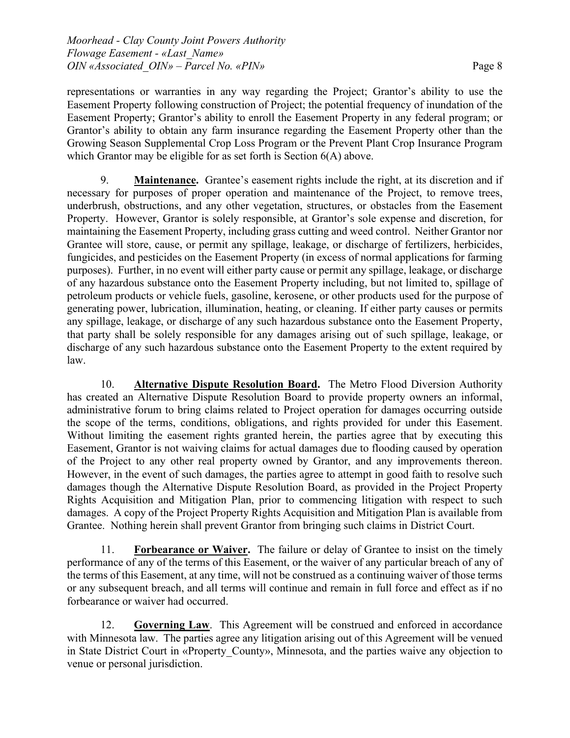representations or warranties in any way regarding the Project; Grantor's ability to use the Easement Property following construction of Project; the potential frequency of inundation of the Easement Property; Grantor's ability to enroll the Easement Property in any federal program; or Grantor's ability to obtain any farm insurance regarding the Easement Property other than the Growing Season Supplemental Crop Loss Program or the Prevent Plant Crop Insurance Program which Grantor may be eligible for as set forth is Section  $6(A)$  above.

9. **Maintenance.** Grantee's easement rights include the right, at its discretion and if necessary for purposes of proper operation and maintenance of the Project, to remove trees, underbrush, obstructions, and any other vegetation, structures, or obstacles from the Easement Property. However, Grantor is solely responsible, at Grantor's sole expense and discretion, for maintaining the Easement Property, including grass cutting and weed control. Neither Grantor nor Grantee will store, cause, or permit any spillage, leakage, or discharge of fertilizers, herbicides, fungicides, and pesticides on the Easement Property (in excess of normal applications for farming purposes). Further, in no event will either party cause or permit any spillage, leakage, or discharge of any hazardous substance onto the Easement Property including, but not limited to, spillage of petroleum products or vehicle fuels, gasoline, kerosene, or other products used for the purpose of generating power, lubrication, illumination, heating, or cleaning. If either party causes or permits any spillage, leakage, or discharge of any such hazardous substance onto the Easement Property, that party shall be solely responsible for any damages arising out of such spillage, leakage, or discharge of any such hazardous substance onto the Easement Property to the extent required by law.

10. **Alternative Dispute Resolution Board.** The Metro Flood Diversion Authority has created an Alternative Dispute Resolution Board to provide property owners an informal, administrative forum to bring claims related to Project operation for damages occurring outside the scope of the terms, conditions, obligations, and rights provided for under this Easement. Without limiting the easement rights granted herein, the parties agree that by executing this Easement, Grantor is not waiving claims for actual damages due to flooding caused by operation of the Project to any other real property owned by Grantor, and any improvements thereon. However, in the event of such damages, the parties agree to attempt in good faith to resolve such damages though the Alternative Dispute Resolution Board, as provided in the Project Property Rights Acquisition and Mitigation Plan, prior to commencing litigation with respect to such damages. A copy of the Project Property Rights Acquisition and Mitigation Plan is available from Grantee. Nothing herein shall prevent Grantor from bringing such claims in District Court.

11. **Forbearance or Waiver.** The failure or delay of Grantee to insist on the timely performance of any of the terms of this Easement, or the waiver of any particular breach of any of the terms of this Easement, at any time, will not be construed as a continuing waiver of those terms or any subsequent breach, and all terms will continue and remain in full force and effect as if no forbearance or waiver had occurred.

12. **Governing Law**. This Agreement will be construed and enforced in accordance with Minnesota law. The parties agree any litigation arising out of this Agreement will be venued in State District Court in «Property County», Minnesota, and the parties waive any objection to venue or personal jurisdiction.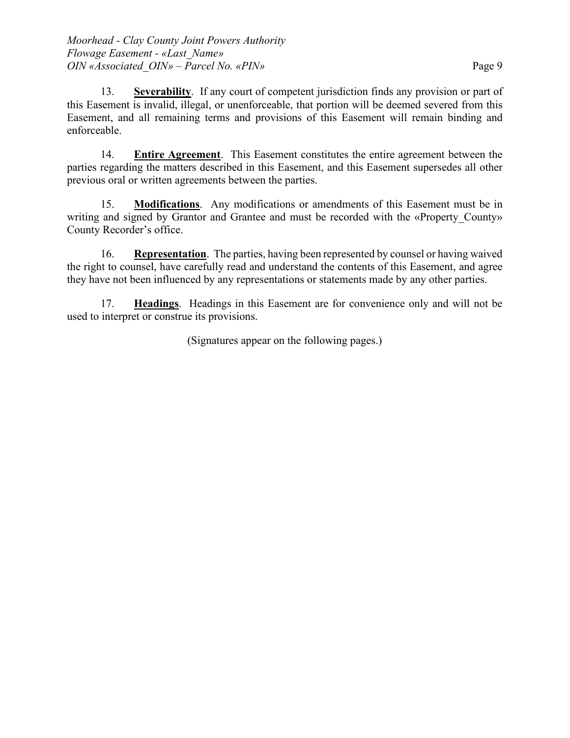13. **Severability**. If any court of competent jurisdiction finds any provision or part of this Easement is invalid, illegal, or unenforceable, that portion will be deemed severed from this Easement, and all remaining terms and provisions of this Easement will remain binding and enforceable.

14. **Entire Agreement**. This Easement constitutes the entire agreement between the parties regarding the matters described in this Easement, and this Easement supersedes all other previous oral or written agreements between the parties.

15. **Modifications**. Any modifications or amendments of this Easement must be in writing and signed by Grantor and Grantee and must be recorded with the «Property County» County Recorder's office.

16. **Representation**. The parties, having been represented by counsel or having waived the right to counsel, have carefully read and understand the contents of this Easement, and agree they have not been influenced by any representations or statements made by any other parties.

17. **Headings**. Headings in this Easement are for convenience only and will not be used to interpret or construe its provisions.

(Signatures appear on the following pages.)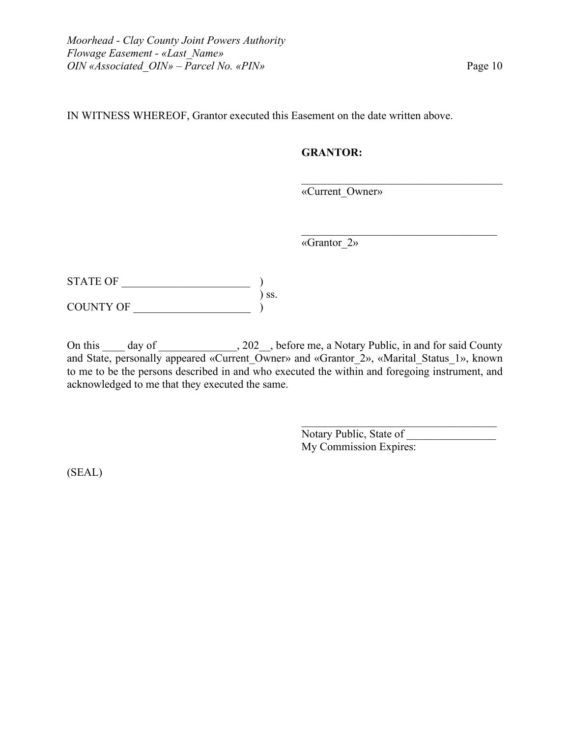IN WITNESS WHEREOF, Grantor executed this Easement on the date written above.

# **GRANTOR:**

«Current\_Owner»

«Grantor\_2»

 $\begin{CD} \begin{bmatrix} \text{STATE OF} \end{bmatrix} \end{CD}$  $\sum$  ss. COUNTY OF \_\_\_\_\_\_\_\_\_\_\_\_\_\_\_\_\_\_\_\_\_ )

On this \_\_\_\_ day of \_\_\_\_\_\_\_\_\_\_\_\_, 202\_\_, before me, a Notary Public, in and for said County and State, personally appeared «Current\_Owner» and «Grantor\_2», «Marital\_Status\_1», known to me to be the persons described in and who executed the within and foregoing instrument, and acknowledged to me that they executed the same.

> Notary Public, State of \_\_\_\_\_\_\_\_\_\_\_\_\_\_\_\_ My Commission Expires:

 $\mathcal{L}_\mathcal{L}$  , which is a set of the set of the set of the set of the set of the set of the set of the set of the set of the set of the set of the set of the set of the set of the set of the set of the set of the set of

 $\mathcal{L}_\mathcal{L}$  , where  $\mathcal{L}_\mathcal{L}$  , we are the set of the set of the set of the set of the set of the set of the set of the set of the set of the set of the set of the set of the set of the set of the set of the set o

(SEAL)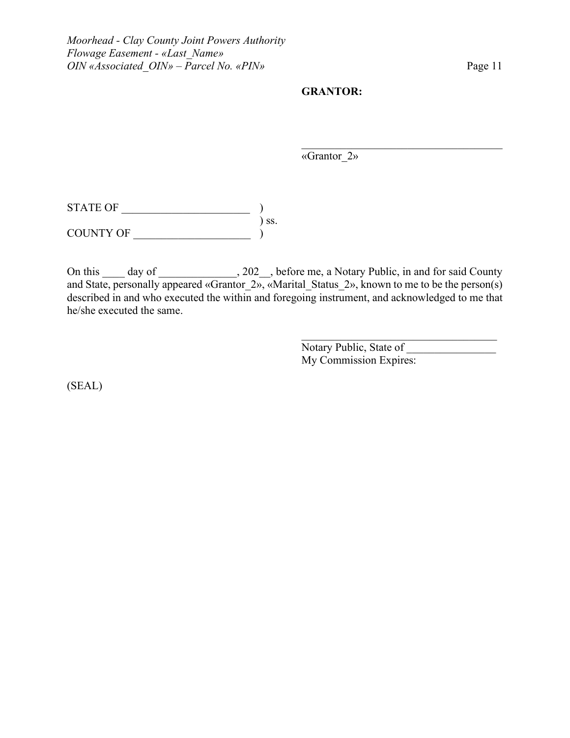### **GRANTOR:**

«Grantor\_2»

 $\mathcal{L}_\mathcal{L}$  , which is a set of the set of the set of the set of the set of the set of the set of the set of the set of the set of the set of the set of the set of the set of the set of the set of the set of the set of

 $\begin{CD} \begin{bmatrix} \text{STATE OF} \end{bmatrix} \end{CD}$ ) ss. COUNTY OF \_\_\_\_\_\_\_\_\_\_\_\_\_\_\_\_\_\_\_\_\_ )

On this \_\_\_\_ day of \_\_\_\_\_\_\_\_\_\_\_\_, 202\_\_, before me, a Notary Public, in and for said County and State, personally appeared «Grantor  $2<sub>9</sub>$ , «Marital Status 2», known to me to be the person(s) described in and who executed the within and foregoing instrument, and acknowledged to me that he/she executed the same.

> Notary Public, State of \_\_\_\_\_\_\_\_\_\_\_\_\_\_\_\_ My Commission Expires:

(SEAL)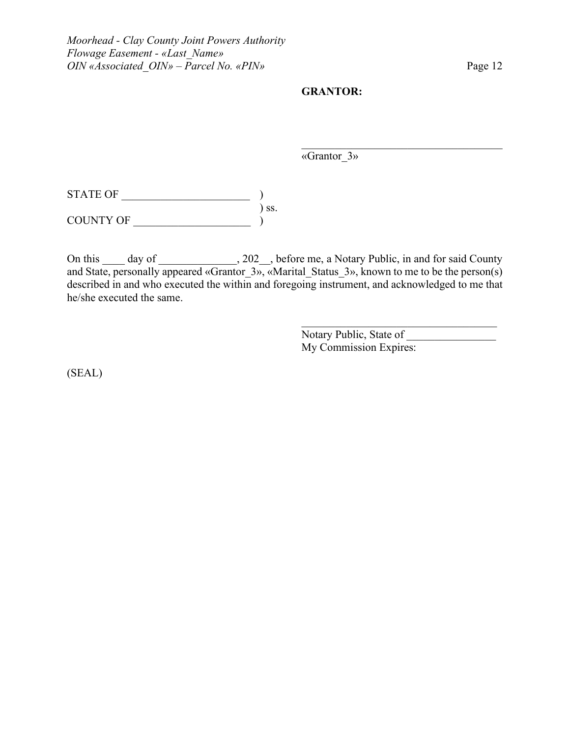#### **GRANTOR:**

«Grantor\_3»

 $\begin{CD} \begin{bmatrix} \text{STATE OF} \end{bmatrix} \end{CD}$ ) ss.

COUNTY OF \_\_\_\_\_\_\_\_\_\_\_\_\_\_\_\_\_\_\_\_\_ )

On this \_\_\_\_ day of \_\_\_\_\_\_\_\_\_\_\_\_, 202\_\_, before me, a Notary Public, in and for said County and State, personally appeared «Grantor\_3», «Marital\_Status\_3», known to me to be the person(s) described in and who executed the within and foregoing instrument, and acknowledged to me that he/she executed the same.

> Notary Public, State of \_\_\_\_\_\_\_\_\_\_\_\_\_\_\_\_ My Commission Expires:

 $\mathcal{L}_\text{max}$  and  $\mathcal{L}_\text{max}$  and  $\mathcal{L}_\text{max}$  and  $\mathcal{L}_\text{max}$ 

 $\mathcal{L}_\mathcal{L}$  , which is a set of the set of the set of the set of the set of the set of the set of the set of the set of the set of the set of the set of the set of the set of the set of the set of the set of the set of

(SEAL)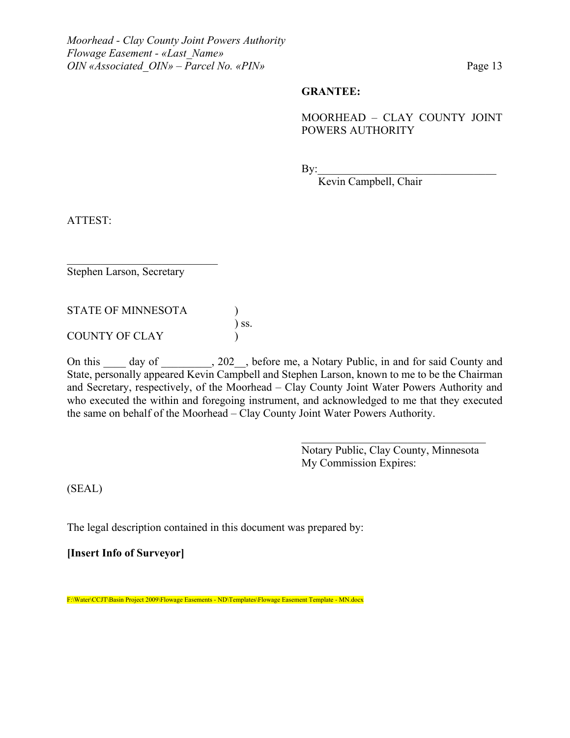#### **GRANTEE:**

## MOORHEAD – CLAY COUNTY JOINT POWERS AUTHORITY

 $\mathrm{By:}\qquad\qquad$ 

Kevin Campbell, Chair

ATTEST:

Stephen Larson, Secretary

STATE OF MINNESOTA )

COUNTY OF CLAY )

On this \_\_\_\_ day of \_\_\_\_\_\_\_, 202\_\_, before me, a Notary Public, in and for said County and State, personally appeared Kevin Campbell and Stephen Larson, known to me to be the Chairman and Secretary, respectively, of the Moorhead – Clay County Joint Water Powers Authority and who executed the within and foregoing instrument, and acknowledged to me that they executed the same on behalf of the Moorhead – Clay County Joint Water Powers Authority.

) ss.

Notary Public, Clay County, Minnesota My Commission Expires:

 $\mathcal{L}_\mathcal{L}$  , where  $\mathcal{L}_\mathcal{L}$  , we are the set of the set of the set of the set of the set of the set of the set of the set of the set of the set of the set of the set of the set of the set of the set of the set o

(SEAL)

The legal description contained in this document was prepared by:

**[Insert Info of Surveyor]**

F:\Water\CCJT\Basin Project 2009\Flowage Easements - ND\Templates\Flowage Easement Template - MN.docx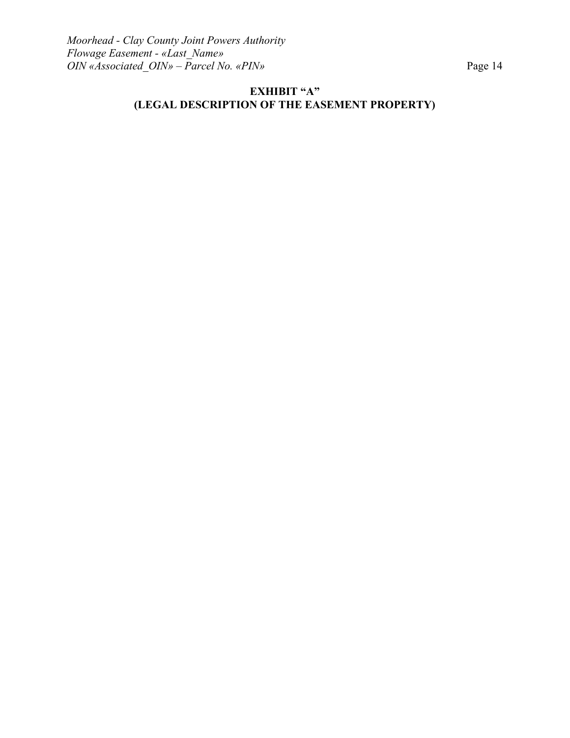# **EXHIBIT "A" (LEGAL DESCRIPTION OF THE EASEMENT PROPERTY)**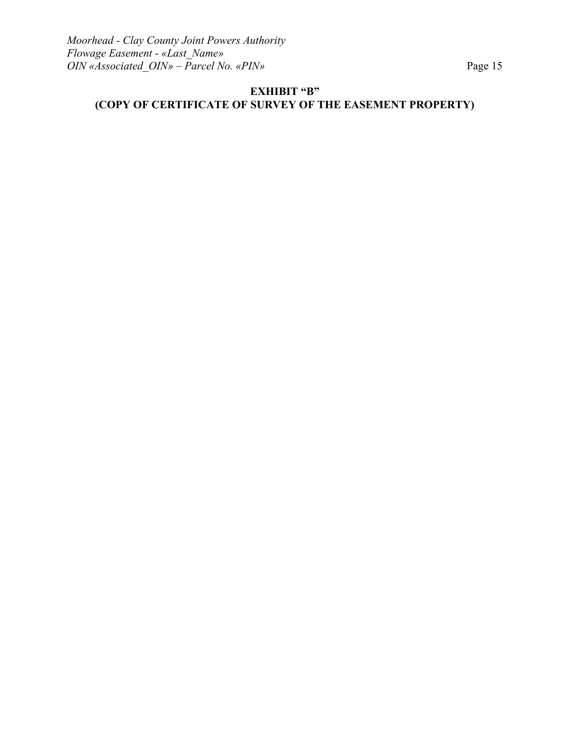# **EXHIBIT "B" (COPY OF CERTIFICATE OF SURVEY OF THE EASEMENT PROPERTY)**